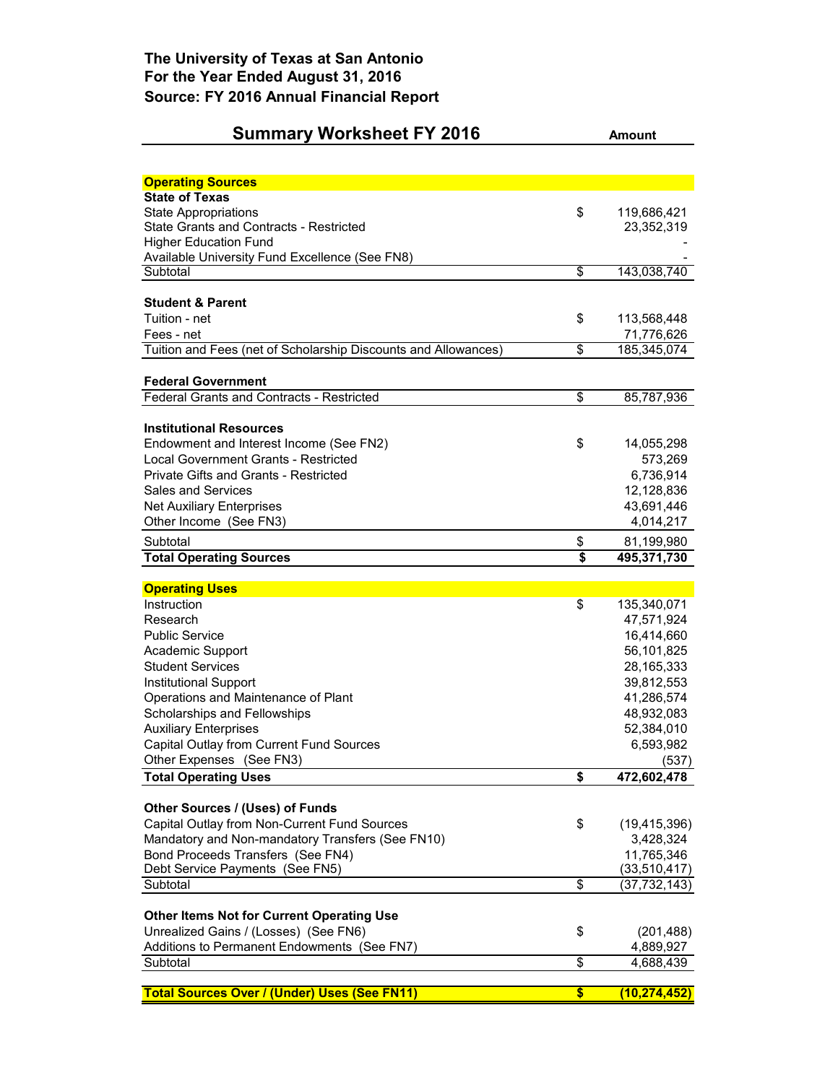## **Summary Worksheet FY 2016 Amount**

| <b>Operating Sources</b>                                       |                            |
|----------------------------------------------------------------|----------------------------|
| <b>State of Texas</b>                                          |                            |
| <b>State Appropriations</b>                                    | \$<br>119,686,421          |
| <b>State Grants and Contracts - Restricted</b>                 | 23,352,319                 |
| <b>Higher Education Fund</b>                                   |                            |
| Available University Fund Excellence (See FN8)                 |                            |
| Subtotal                                                       | \$<br>143,038,740          |
| <b>Student &amp; Parent</b>                                    |                            |
| Tuition - net                                                  | \$<br>113,568,448          |
| Fees - net                                                     | 71,776,626                 |
| Tuition and Fees (net of Scholarship Discounts and Allowances) | \$<br>185,345,074          |
| <b>Federal Government</b>                                      |                            |
| <b>Federal Grants and Contracts - Restricted</b>               | \$<br>85,787,936           |
|                                                                |                            |
| <b>Institutional Resources</b>                                 |                            |
| Endowment and Interest Income (See FN2)                        | \$<br>14,055,298           |
| Local Government Grants - Restricted                           | 573,269                    |
| <b>Private Gifts and Grants - Restricted</b>                   | 6,736,914                  |
| <b>Sales and Services</b>                                      | 12,128,836                 |
| <b>Net Auxiliary Enterprises</b>                               | 43,691,446                 |
| Other Income (See FN3)                                         | 4,014,217                  |
| Subtotal                                                       | \$<br>81,199,980           |
| <b>Total Operating Sources</b>                                 | \$<br>495,371,730          |
|                                                                |                            |
| <b>Operating Uses</b>                                          |                            |
| Instruction                                                    | \$<br>135,340,071          |
| Research                                                       | 47,571,924                 |
| <b>Public Service</b>                                          | 16,414,660                 |
| Academic Support                                               | 56,101,825                 |
| <b>Student Services</b>                                        | 28, 165, 333               |
| Institutional Support                                          | 39,812,553                 |
| Operations and Maintenance of Plant                            | 41,286,574                 |
| Scholarships and Fellowships                                   | 48,932,083                 |
| <b>Auxiliary Enterprises</b>                                   | 52,384,010                 |
| Capital Outlay from Current Fund Sources                       | 6,593,982                  |
| Other Expenses (See FN3)<br><b>Total Operating Uses</b>        | \$<br>(537)<br>472,602,478 |
|                                                                |                            |
| Other Sources / (Uses) of Funds                                |                            |
| Capital Outlay from Non-Current Fund Sources                   | \$<br>(19, 415, 396)       |
| Mandatory and Non-mandatory Transfers (See FN10)               | 3,428,324                  |
| Bond Proceeds Transfers (See FN4)                              | 11,765,346                 |
| Debt Service Payments (See FN5)                                | (33,510,417)               |
| Subtotal                                                       | \$<br>(37,732,143)         |
| <b>Other Items Not for Current Operating Use</b>               |                            |
| Unrealized Gains / (Losses) (See FN6)                          | \$<br>(201, 488)           |
| Additions to Permanent Endowments (See FN7)                    | 4,889,927                  |
| Subtotal                                                       | \$<br>4,688,439            |
|                                                                |                            |
| <b>Total Sources Over / (Under) Uses (See FN11)</b>            | \$<br>(10, 274, 452)       |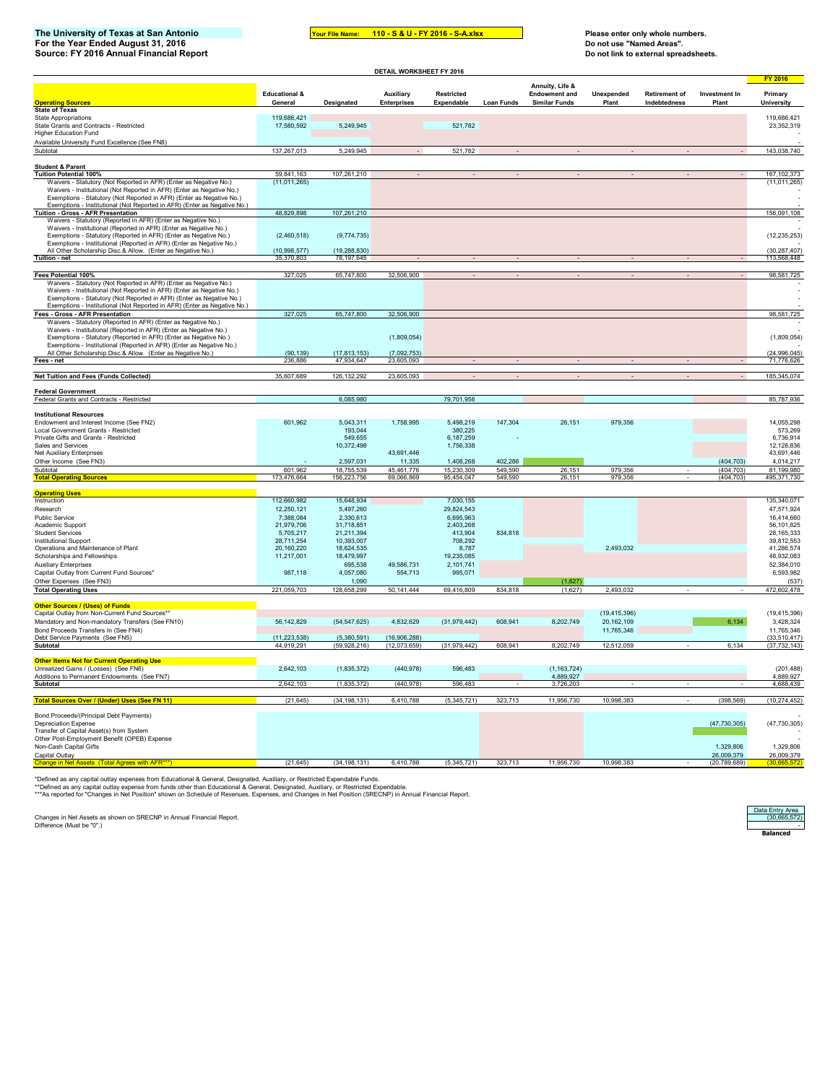## **The University of Texas at San Antonio Your File Name: Please enter only whole numbers. For the Year Ended August 31, 2016 Do not use "Named Areas". Source: FY 2016 Annual Financial Report Do not link to external spreadsheets.**

3 5 6 8 9 0 **110 - S & U - FY 2016 - S-A.xlsx**

|                                                                                                                                                                                                                           |                                     |                              | DETAIL WORKSHEET FY 2016        |                          |                    |                                              |                     |                                      |                          |                              |
|---------------------------------------------------------------------------------------------------------------------------------------------------------------------------------------------------------------------------|-------------------------------------|------------------------------|---------------------------------|--------------------------|--------------------|----------------------------------------------|---------------------|--------------------------------------|--------------------------|------------------------------|
|                                                                                                                                                                                                                           |                                     |                              |                                 |                          |                    | Annuity, Life &                              |                     |                                      |                          | <b>FY 2016</b>               |
| <b>Operating Sources</b>                                                                                                                                                                                                  | <b>Educational &amp;</b><br>General | Designated                   | Auxiliary<br><b>Enterprises</b> | Restricted<br>Expendable | Loan Funds         | <b>Endowment and</b><br><b>Similar Funds</b> | Unexpended<br>Plant | <b>Retirement of</b><br>Indebtedness | Investment In<br>Plant   | Primary<br>University        |
| <b>State of Texas</b>                                                                                                                                                                                                     |                                     |                              |                                 |                          |                    |                                              |                     |                                      |                          |                              |
| <b>State Appropriations</b><br>State Grants and Contracts - Restricted                                                                                                                                                    | 119,686,421<br>17.580.592           | 5,249,945                    |                                 | 521,782                  |                    |                                              |                     |                                      |                          | 119,686,421<br>23,352,319    |
| <b>Higher Education Fund</b>                                                                                                                                                                                              |                                     |                              |                                 |                          |                    |                                              |                     |                                      |                          |                              |
| Available University Fund Excellence (See FN8)<br>Subtotal                                                                                                                                                                | 137,267,013                         | 5,249,945                    |                                 | 521,782                  |                    |                                              |                     |                                      |                          | 143,038,740                  |
|                                                                                                                                                                                                                           |                                     |                              |                                 |                          |                    |                                              |                     |                                      |                          |                              |
| <b>Student &amp; Parent</b><br><b>Tuition Potential 100%</b>                                                                                                                                                              | 59,841,163                          | 107,261,210                  |                                 |                          |                    |                                              |                     |                                      |                          | 167.102.373                  |
| Waivers - Statutory (Not Reported in AFR) (Enter as Negative No.)                                                                                                                                                         | (11, 011, 265)                      |                              |                                 |                          |                    |                                              |                     |                                      |                          | (11, 011, 265)               |
| Waivers - Institutional (Not Reported in AFR) (Enter as Negative No.)<br>Exemptions - Statutory (Not Reported in AFR) (Enter as Negative No.)                                                                             |                                     |                              |                                 |                          |                    |                                              |                     |                                      |                          |                              |
| Exemptions - Institutional (Not Reported in AFR) (Enter as Negative No.)                                                                                                                                                  |                                     |                              |                                 |                          |                    |                                              |                     |                                      |                          |                              |
| Tuition - Gross - AFR Presentation<br>Waivers - Statutory (Reported in AFR) (Enter as Negative No.)                                                                                                                       | 48,829,898                          | 107,261,210                  |                                 |                          |                    |                                              |                     |                                      |                          | 156,091,108                  |
| Waivers - Institutional (Reported in AFR) (Enter as Negative No.)                                                                                                                                                         |                                     |                              |                                 |                          |                    |                                              |                     |                                      |                          |                              |
| Exemptions - Statutory (Reported in AFR) (Enter as Negative No.)                                                                                                                                                          | (2,460,518)                         | (9,774,735)                  |                                 |                          |                    |                                              |                     |                                      |                          | (12, 235, 253)               |
| Exemptions - Institutional (Reported in AFR) (Enter as Negative No.)<br>All Other Scholarship Disc.& Allow. (Enter as Negative No.)                                                                                       | (10,998,577)                        | (19, 288, 830)               |                                 |                          |                    |                                              |                     |                                      |                          | (30, 287, 407)               |
| Tuition - net                                                                                                                                                                                                             | 170.803                             | 78,197,645                   |                                 |                          |                    |                                              |                     |                                      |                          | 113,568,448                  |
| Fees Potential 100%                                                                                                                                                                                                       | 327,025                             | 65,747,800                   | 32,506,900                      |                          |                    |                                              |                     |                                      |                          | 98,581,725                   |
| Waivers - Statutory (Not Reported in AFR) (Enter as Negative No.)                                                                                                                                                         |                                     |                              |                                 |                          |                    |                                              |                     |                                      |                          |                              |
| Waivers - Institutional (Not Reported in AFR) (Enter as Negative No.)<br>Exemptions - Statutory (Not Reported in AFR) (Enter as Negative No.)<br>Exemptions - Institutional (Not Reported in AFR) (Enter as Negative No.) |                                     |                              |                                 |                          |                    |                                              |                     |                                      |                          |                              |
| Fees - Gross - AFR Presentation                                                                                                                                                                                           | 327,025                             | 65,747,800                   | 32,506,900                      |                          |                    |                                              |                     |                                      |                          | 98,581,725                   |
| Waivers - Statutory (Reported in AFR) (Enter as Negative No.)                                                                                                                                                             |                                     |                              |                                 |                          |                    |                                              |                     |                                      |                          |                              |
| Waivers - Institutional (Reported in AFR) (Enter as Negative No.)<br>Exemptions - Statutory (Reported in AFR) (Enter as Negative No.)                                                                                     |                                     |                              | (1,809,054)                     |                          |                    |                                              |                     |                                      |                          | (1,809,054)                  |
| Exemptions - Institutional (Reported in AFR) (Enter as Negative No.)                                                                                                                                                      |                                     |                              |                                 |                          |                    |                                              |                     |                                      |                          |                              |
| All Other Scholarship Disc.& Allow. (Enter as Negative No.)<br>Fees - net                                                                                                                                                 | (90, 139)<br>236.886                | (17, 813, 153)<br>47.934.647 | (7,092,753)<br>23.605.093       |                          |                    |                                              |                     |                                      |                          | (24, 996, 045)<br>71.776.626 |
|                                                                                                                                                                                                                           |                                     |                              |                                 |                          |                    |                                              |                     |                                      |                          |                              |
| Net Tuition and Fees (Funds Collected)                                                                                                                                                                                    | 35,607,689                          | 126, 132, 292                | 23,605,093                      |                          |                    |                                              |                     |                                      |                          | 185,345,074                  |
| <b>Federal Government</b>                                                                                                                                                                                                 |                                     |                              |                                 |                          |                    |                                              |                     |                                      |                          |                              |
| Federal Grants and Contracts - Restricted                                                                                                                                                                                 |                                     | 6,085,980                    |                                 | 79,701,956               |                    |                                              |                     |                                      |                          | 85,787,936                   |
| <b>Institutional Resources</b>                                                                                                                                                                                            |                                     |                              |                                 |                          |                    |                                              |                     |                                      |                          |                              |
| Endowment and Interest Income (See FN2)<br>Local Government Grants - Restricted                                                                                                                                           | 601,962                             | 5,043,311<br>193,044         | 1,758,995                       | 5,498,219<br>380,225     | 147,304            | 26,151                                       | 979,356             |                                      |                          | 14,055,298<br>573,269        |
| Private Gifts and Grants - Restricted                                                                                                                                                                                     |                                     | 549.655                      |                                 | 6,187,259                |                    |                                              |                     |                                      |                          | 6.736.914                    |
| Sales and Services<br><b>Net Auxiliary Enterprises</b>                                                                                                                                                                    |                                     | 10,372,498                   | 43,691,446                      | 1,756,338                |                    |                                              |                     |                                      |                          | 12,128,836<br>43,691,446     |
| Other Income (See FN3)                                                                                                                                                                                                    |                                     | 2,597,031                    | 11,335                          | 1,408,268                | 402,286            |                                              |                     |                                      | (404, 703)               | 4,014,217                    |
| Subtotal<br><b>Total Operating Sources</b>                                                                                                                                                                                | 601,962<br>173,476,664              | 18.755.539<br>156,223,756    | 45,461,776<br>69,066,869        | 15,230,309<br>95,454,047 | 549.590<br>549,590 | 26,151<br>26,151                             | 979,356<br>979.356  |                                      | (404, 703)<br>(404, 703) | 81,199,980<br>495,371,730    |
|                                                                                                                                                                                                                           |                                     |                              |                                 |                          |                    |                                              |                     |                                      |                          |                              |
| <b>Operating U</b><br>Instruction                                                                                                                                                                                         | 112,660,982                         | 15,648,934                   |                                 | 7,030,155                |                    |                                              |                     |                                      |                          | 135,340,071                  |
| Research                                                                                                                                                                                                                  | 12,250,121                          | 5,497,260                    |                                 | 29,824,543               |                    |                                              |                     |                                      |                          | 47,571,924                   |
| Public Service                                                                                                                                                                                                            | 7,388,084                           | 2,330,613                    |                                 | 6,695,963                |                    |                                              |                     |                                      |                          | 16,414,660                   |
| Academic Support<br><b>Student Services</b>                                                                                                                                                                               | 21,979,706<br>5,705,217             | 31,718,851<br>21,211,394     |                                 | 2.403.268<br>413,904     | 834,818            |                                              |                     |                                      |                          | 56,101,825<br>28, 165, 333   |
| Institutional Support                                                                                                                                                                                                     | 28,711,254                          | 10,393,007                   |                                 | 708,292                  |                    |                                              |                     |                                      |                          | 39,812,553                   |
| Operations and Maintenance of Plant<br>Scholarships and Fellowships                                                                                                                                                       | 20.160.220<br>11,217,001            | 18,624,535<br>18,479,997     |                                 | 8.787<br>19,235,085      |                    |                                              | 2,493,032           |                                      |                          | 41,286,574<br>48,932,083     |
| <b>Auxiliary Enterprises</b>                                                                                                                                                                                              |                                     | 695,538                      | 49,586,731                      | 2,101,741                |                    |                                              |                     |                                      |                          | 52,384,010                   |
| Capital Outlay from Current Fund Sources*                                                                                                                                                                                 | 987,118                             | 4,057,080                    | 554,713                         | 995,071                  |                    |                                              |                     |                                      |                          | 6,593,982                    |
| Other Expenses (See FN3)<br><b>Total Operating Uses</b>                                                                                                                                                                   | 221,059,703                         | 1.090<br>128.658.299         | 50, 141, 444                    | 69,416,809               | 834.818            | (1,627)<br>(1,627)                           | 2,493,032           |                                      |                          | (537)<br>472,602,478         |
|                                                                                                                                                                                                                           |                                     |                              |                                 |                          |                    |                                              |                     |                                      |                          |                              |
| <b>Other Sources / (Uses) of Funds</b><br>Capital Outlay from Non-Current Fund Sources*'                                                                                                                                  |                                     |                              |                                 |                          |                    |                                              | (19, 415, 396)      |                                      |                          | (19, 415, 396)               |
| Mandatory and Non-mandatory Transfers (See FN10)                                                                                                                                                                          | 56,142,829                          | (54, 547, 625)               | 4.832.629                       | (31, 979, 442)           | 608,941            | 8.202.749                                    | 20, 162, 109        |                                      | 6,134                    | 3,428,324                    |
| Bond Proceeds Transfers In (See FN4)<br>Debt Service Payments (See FN5)                                                                                                                                                   | (11, 223, 538)                      | (5.380.591)                  | (16.906.288)                    |                          |                    |                                              | 11,765,346          |                                      |                          | 11,765,346<br>(33.510.417)   |
| Subtotal                                                                                                                                                                                                                  | 44,919,291                          | (59,928,216)                 | (12,073,659)                    | (31, 979, 442)           | 608,941            | 8,202,749                                    | 12,512,059          |                                      | 6,134                    | (37, 732, 143)               |
| <b>Other Items Not for Current Operating Use</b>                                                                                                                                                                          |                                     |                              |                                 |                          |                    |                                              |                     |                                      |                          |                              |
| Unrealized Gains / (Losses) (See FN6)                                                                                                                                                                                     | 2,642,103                           | (1,835,372)                  | (440, 978)                      | 596,483                  |                    | (1, 163, 724)                                |                     |                                      |                          | (201, 488)                   |
| Additions to Permanent Endowments (See FN7)<br>Subtotal                                                                                                                                                                   | 2,642,103                           | (1,835,372)                  | (440, 978)                      | 596,483                  |                    | 4,889,927<br>3,726,203                       |                     |                                      |                          | 4,889,927<br>4,688,439       |
|                                                                                                                                                                                                                           |                                     |                              |                                 |                          |                    |                                              |                     |                                      |                          |                              |
| Total Sources Over / (Under) Uses (See FN 11)                                                                                                                                                                             | (21, 645)                           | (34, 198, 131)               | 6,410,788                       | (5,345,721)              | 323,713            | 11,956,730                                   | 10,998,383          |                                      | (398, 569)               | (10, 274, 452)               |
| Bond Proceeds/(Principal Debt Payments)                                                                                                                                                                                   |                                     |                              |                                 |                          |                    |                                              |                     |                                      |                          |                              |
| Depreciation Expense<br>Transfer of Capital Asset(s) from System                                                                                                                                                          |                                     |                              |                                 |                          |                    |                                              |                     |                                      | (47, 730, 305)           | (47, 730, 305)               |
| Other Post-Employment Benefit (OPEB) Expense                                                                                                                                                                              |                                     |                              |                                 |                          |                    |                                              |                     |                                      |                          |                              |
| Non-Cash Capital Gifts<br>Capital Outlay                                                                                                                                                                                  |                                     |                              |                                 |                          |                    |                                              |                     |                                      | 1.329.806<br>26.009.379  | 1.329.806<br>26.009.379      |
|                                                                                                                                                                                                                           | (21, 645)                           | (34.198.131)                 | 6.410.788                       | (5,345,721)              | 323,713            | 11.956.730                                   | 10.998.383          |                                      | (20, 789, 689)           |                              |

\*Defined as any capital outlay expenses from Educational & General, Designated, Auxiliary, or Restricted Expendable Funds.<br>\*\*Defined as any capital outlay expense from funds other than Educational & General, Designated, A

Changes in Net Assets as shown on SRECNP in Annual Financial Report.<br>Difference (Must be "0".) - 30,665,5729<br>Difference (Must be "0".) - 30,665,572

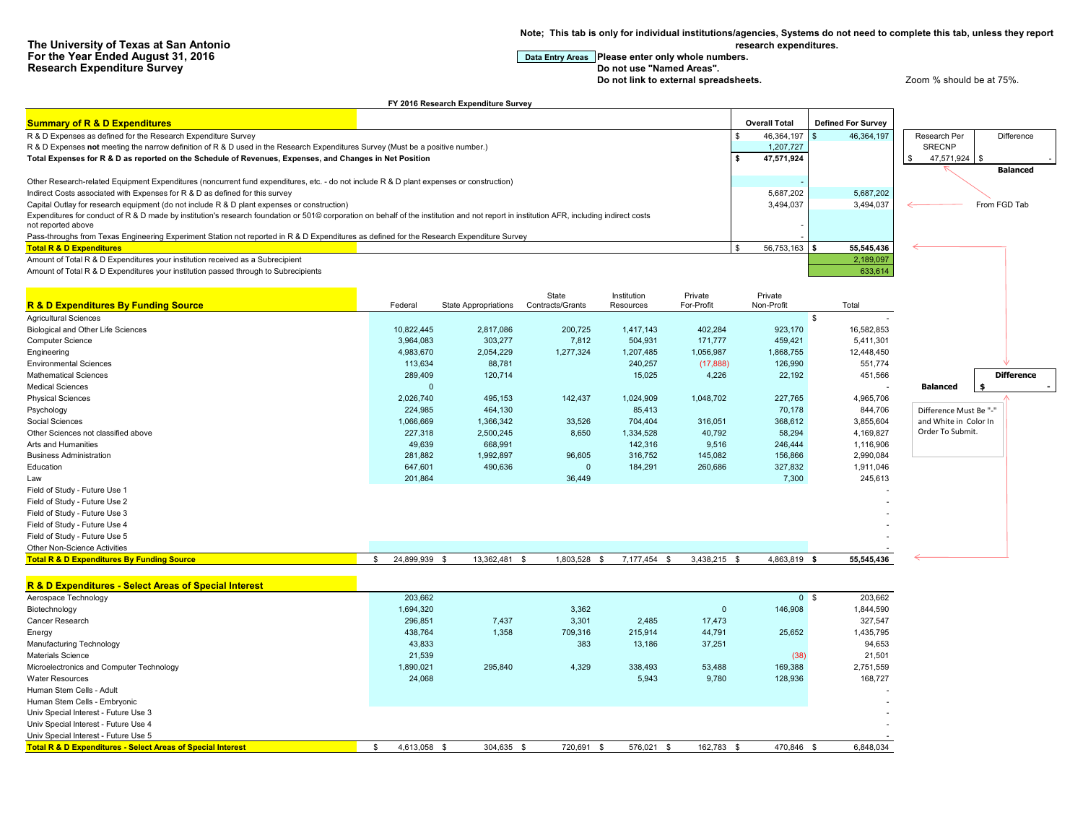**Note; This tab is only for individual institutions/agencies, Systems do not need to complete this tab, unless they report research expenditures.**

## **For the Year Entry Areas** Please enter only whole numbers.<br>Do not use "Named Areas".

**Do not link to external spreadsheets. Let up a very spread of the 200 m**  $\alpha$  and  $\alpha$  at 75%.

| <b>Summary of R &amp; D Expenditures</b><br><b>Overall Total</b><br><b>Defined For Survey</b><br>46,364,197<br>R & D Expenses as defined for the Research Expenditure Survey<br>46,364,197<br>Research Per<br>Difference<br>R & D Expenses not meeting the narrow definition of R & D used in the Research Expenditures Survey (Must be a positive number.)<br><b>SRECNP</b><br>1,207,727<br>\$<br>47,571,924<br>47,571,924 \$<br>Total Expenses for R & D as reported on the Schedule of Revenues, Expenses, and Changes in Net Position<br><b>Balanced</b><br>Other Research-related Equipment Expenditures (noncurrent fund expenditures, etc. - do not include R & D plant expenses or construction)<br>Indirect Costs associated with Expenses for R & D as defined for this survey<br>5,687,202<br>5,687,202<br>3,494,037<br>From FGD Tab<br>Capital Outlay for research equipment (do not include R & D plant expenses or construction)<br>3,494,037<br>Expenditures for conduct of R & D made by institution's research foundation or 501© corporation on behalf of the institution and not report in institution AFR, including indirect costs<br>not reported above<br>Pass-throughs from Texas Engineering Experiment Station not reported in R & D Expenditures as defined for the Research Expenditure Survey<br>56,753,163<br>55,545,436<br><b>Total R &amp; D Expenditures</b><br>$\mathfrak{L}$<br>l s<br>Amount of Total R & D Expenditures your institution received as a Subrecipient<br>2,189,097<br>633,614<br>Amount of Total R & D Expenditures your institution passed through to Subrecipients<br>State<br>Institution<br>Private<br>Private<br><b>R &amp; D Expenditures By Funding Source</b><br>Contracts/Grants<br>For-Profit<br>Non-Profit<br>Federal<br><b>State Appropriations</b><br>Resources<br>Total<br><b>Agricultural Sciences</b><br>$\mathbb{S}$<br>2,817,086<br>200,725<br>1,417,143<br>402,284<br>Biological and Other Life Sciences<br>10,822,445<br>923,170<br>16,582,853<br>Computer Science<br>3,964,083<br>303,277<br>7,812<br>504,931<br>171,777<br>459,421<br>5,411,301<br>Engineering<br>4,983,670<br>2,054,229<br>1,277,324<br>1,207,485<br>1,056,987<br>1,868,755<br>12,448,450<br><b>Environmental Sciences</b><br>113,634<br>88,781<br>240,257<br>(17, 888)<br>126,990<br>551,774<br>289,409<br>15,025<br>451,566<br><b>Difference</b><br><b>Mathematical Sciences</b><br>120,714<br>4,226<br>22,192<br><b>Medical Sciences</b><br>$\Omega$<br><b>Balanced</b><br>- 55<br><b>Physical Sciences</b><br>2,026,740<br>495,153<br>142,437<br>1,024,909<br>1,048,702<br>227,765<br>4,965,706<br>Psychology<br>224,985<br>464,130<br>85,413<br>70,178<br>844,706<br>Difference Must Be "-"<br>1,066,669<br>1,366,342<br>33,526<br>704,404<br>316,051<br>368,612<br>3,855,604<br>and White in Color In<br>Social Sciences<br>Order To Submit.<br>Other Sciences not classified above<br>227,318<br>2,500,245<br>8,650<br>1,334,528<br>40,792<br>58,294<br>4,169,827<br>49,639<br>142,316<br>Arts and Humanities<br>668,991<br>9,516<br>246,444<br>1,116,906<br>281,882<br>1,992,897<br>96,605<br>316,752<br>145,082<br>156,866<br>2,990,084<br><b>Business Administration</b><br>Education<br>647,601<br>490,636<br>$\overline{0}$<br>184,291<br>260,686<br>327,832<br>1,911,046<br>245,613<br>Law<br>201,864<br>36,449<br>7,300<br>Field of Study - Future Use 1<br>Field of Study - Future Use 2<br>Field of Study - Future Use 3<br>Field of Study - Future Use 4<br>Field of Study - Future Use 5<br>Other Non-Science Activities<br>55,545,436<br>24,899,939 \$<br>13,362,481 \$<br>1,803,528<br>7,177,454<br>3,438,215 \$<br>4,863,819 \$<br><b>Total R &amp; D Expenditures By Funding Source</b><br>$\mathfrak{L}$<br>S.<br><b>S</b><br>R & D Expenditures - Select Areas of Special Interest<br>203,662<br>203,662<br>Aerospace Technology<br>0 <sup>5</sup><br>Biotechnology<br>1,694,320<br>3,362<br>$\overline{0}$<br>146,908<br>1,844,590<br>Cancer Research<br>296,851<br>7,437<br>3,301<br>2,485<br>17,473<br>327,547<br>438,764<br>1,358<br>709,316<br>215,914<br>44,791<br>1,435,795<br>Energy<br>25,652<br>43,833<br>383<br>13,186<br>37,251<br>94,653<br>Manufacturing Technology<br>21,539<br>(38)<br>21,501<br><b>Materials Science</b><br>1,890,021<br>295,840<br>4,329<br>338,493<br>53,488<br>169,388<br>2,751,559<br>Microelectronics and Computer Technology<br>24,068<br>5.943<br>Water Resources<br>9,780<br>128,936<br>168,727<br>Human Stem Cells - Adult<br>Human Stem Cells - Embryonic<br>Univ Special Interest - Future Use 3<br>Univ Special Interest - Future Use 4<br>Univ Special Interest - Future Use 5<br>4,613,058 \$<br>304,635 \$<br>162,783 \$<br>470,846 \$<br>\$.<br>- \$ |                                                                        | FY 2016 Research Expenditure Survey |         |            |  |           |  |
|-------------------------------------------------------------------------------------------------------------------------------------------------------------------------------------------------------------------------------------------------------------------------------------------------------------------------------------------------------------------------------------------------------------------------------------------------------------------------------------------------------------------------------------------------------------------------------------------------------------------------------------------------------------------------------------------------------------------------------------------------------------------------------------------------------------------------------------------------------------------------------------------------------------------------------------------------------------------------------------------------------------------------------------------------------------------------------------------------------------------------------------------------------------------------------------------------------------------------------------------------------------------------------------------------------------------------------------------------------------------------------------------------------------------------------------------------------------------------------------------------------------------------------------------------------------------------------------------------------------------------------------------------------------------------------------------------------------------------------------------------------------------------------------------------------------------------------------------------------------------------------------------------------------------------------------------------------------------------------------------------------------------------------------------------------------------------------------------------------------------------------------------------------------------------------------------------------------------------------------------------------------------------------------------------------------------------------------------------------------------------------------------------------------------------------------------------------------------------------------------------------------------------------------------------------------------------------------------------------------------------------------------------------------------------------------------------------------------------------------------------------------------------------------------------------------------------------------------------------------------------------------------------------------------------------------------------------------------------------------------------------------------------------------------------------------------------------------------------------------------------------------------------------------------------------------------------------------------------------------------------------------------------------------------------------------------------------------------------------------------------------------------------------------------------------------------------------------------------------------------------------------------------------------------------------------------------------------------------------------------------------------------------------------------------------------------------------------------------------------------------------------------------------------------------------------------------------------------------------------------------------------------------------------------------------------------------------------------------------------------------------------------------------------------------------------------------------------------------------------------------------------------------------------------------------------------------------------------------------------------------------------------------------------------------------------------------------------------------------------------------------------------------------------------------------------------------------------------------------------------------------------------------------------------------------------------------------------------------------------------------------------------------------------------------------------------------------------------------------------------------------------------------|------------------------------------------------------------------------|-------------------------------------|---------|------------|--|-----------|--|
|                                                                                                                                                                                                                                                                                                                                                                                                                                                                                                                                                                                                                                                                                                                                                                                                                                                                                                                                                                                                                                                                                                                                                                                                                                                                                                                                                                                                                                                                                                                                                                                                                                                                                                                                                                                                                                                                                                                                                                                                                                                                                                                                                                                                                                                                                                                                                                                                                                                                                                                                                                                                                                                                                                                                                                                                                                                                                                                                                                                                                                                                                                                                                                                                                                                                                                                                                                                                                                                                                                                                                                                                                                                                                                                                                                                                                                                                                                                                                                                                                                                                                                                                                                                                                                                                                                                                                                                                                                                                                                                                                                                                                                                                                                                                                                         |                                                                        |                                     |         |            |  |           |  |
|                                                                                                                                                                                                                                                                                                                                                                                                                                                                                                                                                                                                                                                                                                                                                                                                                                                                                                                                                                                                                                                                                                                                                                                                                                                                                                                                                                                                                                                                                                                                                                                                                                                                                                                                                                                                                                                                                                                                                                                                                                                                                                                                                                                                                                                                                                                                                                                                                                                                                                                                                                                                                                                                                                                                                                                                                                                                                                                                                                                                                                                                                                                                                                                                                                                                                                                                                                                                                                                                                                                                                                                                                                                                                                                                                                                                                                                                                                                                                                                                                                                                                                                                                                                                                                                                                                                                                                                                                                                                                                                                                                                                                                                                                                                                                                         |                                                                        |                                     |         |            |  |           |  |
|                                                                                                                                                                                                                                                                                                                                                                                                                                                                                                                                                                                                                                                                                                                                                                                                                                                                                                                                                                                                                                                                                                                                                                                                                                                                                                                                                                                                                                                                                                                                                                                                                                                                                                                                                                                                                                                                                                                                                                                                                                                                                                                                                                                                                                                                                                                                                                                                                                                                                                                                                                                                                                                                                                                                                                                                                                                                                                                                                                                                                                                                                                                                                                                                                                                                                                                                                                                                                                                                                                                                                                                                                                                                                                                                                                                                                                                                                                                                                                                                                                                                                                                                                                                                                                                                                                                                                                                                                                                                                                                                                                                                                                                                                                                                                                         |                                                                        |                                     |         |            |  |           |  |
|                                                                                                                                                                                                                                                                                                                                                                                                                                                                                                                                                                                                                                                                                                                                                                                                                                                                                                                                                                                                                                                                                                                                                                                                                                                                                                                                                                                                                                                                                                                                                                                                                                                                                                                                                                                                                                                                                                                                                                                                                                                                                                                                                                                                                                                                                                                                                                                                                                                                                                                                                                                                                                                                                                                                                                                                                                                                                                                                                                                                                                                                                                                                                                                                                                                                                                                                                                                                                                                                                                                                                                                                                                                                                                                                                                                                                                                                                                                                                                                                                                                                                                                                                                                                                                                                                                                                                                                                                                                                                                                                                                                                                                                                                                                                                                         |                                                                        |                                     |         |            |  |           |  |
|                                                                                                                                                                                                                                                                                                                                                                                                                                                                                                                                                                                                                                                                                                                                                                                                                                                                                                                                                                                                                                                                                                                                                                                                                                                                                                                                                                                                                                                                                                                                                                                                                                                                                                                                                                                                                                                                                                                                                                                                                                                                                                                                                                                                                                                                                                                                                                                                                                                                                                                                                                                                                                                                                                                                                                                                                                                                                                                                                                                                                                                                                                                                                                                                                                                                                                                                                                                                                                                                                                                                                                                                                                                                                                                                                                                                                                                                                                                                                                                                                                                                                                                                                                                                                                                                                                                                                                                                                                                                                                                                                                                                                                                                                                                                                                         |                                                                        |                                     |         |            |  |           |  |
|                                                                                                                                                                                                                                                                                                                                                                                                                                                                                                                                                                                                                                                                                                                                                                                                                                                                                                                                                                                                                                                                                                                                                                                                                                                                                                                                                                                                                                                                                                                                                                                                                                                                                                                                                                                                                                                                                                                                                                                                                                                                                                                                                                                                                                                                                                                                                                                                                                                                                                                                                                                                                                                                                                                                                                                                                                                                                                                                                                                                                                                                                                                                                                                                                                                                                                                                                                                                                                                                                                                                                                                                                                                                                                                                                                                                                                                                                                                                                                                                                                                                                                                                                                                                                                                                                                                                                                                                                                                                                                                                                                                                                                                                                                                                                                         |                                                                        |                                     |         |            |  |           |  |
|                                                                                                                                                                                                                                                                                                                                                                                                                                                                                                                                                                                                                                                                                                                                                                                                                                                                                                                                                                                                                                                                                                                                                                                                                                                                                                                                                                                                                                                                                                                                                                                                                                                                                                                                                                                                                                                                                                                                                                                                                                                                                                                                                                                                                                                                                                                                                                                                                                                                                                                                                                                                                                                                                                                                                                                                                                                                                                                                                                                                                                                                                                                                                                                                                                                                                                                                                                                                                                                                                                                                                                                                                                                                                                                                                                                                                                                                                                                                                                                                                                                                                                                                                                                                                                                                                                                                                                                                                                                                                                                                                                                                                                                                                                                                                                         |                                                                        |                                     |         |            |  |           |  |
|                                                                                                                                                                                                                                                                                                                                                                                                                                                                                                                                                                                                                                                                                                                                                                                                                                                                                                                                                                                                                                                                                                                                                                                                                                                                                                                                                                                                                                                                                                                                                                                                                                                                                                                                                                                                                                                                                                                                                                                                                                                                                                                                                                                                                                                                                                                                                                                                                                                                                                                                                                                                                                                                                                                                                                                                                                                                                                                                                                                                                                                                                                                                                                                                                                                                                                                                                                                                                                                                                                                                                                                                                                                                                                                                                                                                                                                                                                                                                                                                                                                                                                                                                                                                                                                                                                                                                                                                                                                                                                                                                                                                                                                                                                                                                                         |                                                                        |                                     |         |            |  |           |  |
|                                                                                                                                                                                                                                                                                                                                                                                                                                                                                                                                                                                                                                                                                                                                                                                                                                                                                                                                                                                                                                                                                                                                                                                                                                                                                                                                                                                                                                                                                                                                                                                                                                                                                                                                                                                                                                                                                                                                                                                                                                                                                                                                                                                                                                                                                                                                                                                                                                                                                                                                                                                                                                                                                                                                                                                                                                                                                                                                                                                                                                                                                                                                                                                                                                                                                                                                                                                                                                                                                                                                                                                                                                                                                                                                                                                                                                                                                                                                                                                                                                                                                                                                                                                                                                                                                                                                                                                                                                                                                                                                                                                                                                                                                                                                                                         |                                                                        |                                     |         |            |  |           |  |
|                                                                                                                                                                                                                                                                                                                                                                                                                                                                                                                                                                                                                                                                                                                                                                                                                                                                                                                                                                                                                                                                                                                                                                                                                                                                                                                                                                                                                                                                                                                                                                                                                                                                                                                                                                                                                                                                                                                                                                                                                                                                                                                                                                                                                                                                                                                                                                                                                                                                                                                                                                                                                                                                                                                                                                                                                                                                                                                                                                                                                                                                                                                                                                                                                                                                                                                                                                                                                                                                                                                                                                                                                                                                                                                                                                                                                                                                                                                                                                                                                                                                                                                                                                                                                                                                                                                                                                                                                                                                                                                                                                                                                                                                                                                                                                         |                                                                        |                                     |         |            |  |           |  |
|                                                                                                                                                                                                                                                                                                                                                                                                                                                                                                                                                                                                                                                                                                                                                                                                                                                                                                                                                                                                                                                                                                                                                                                                                                                                                                                                                                                                                                                                                                                                                                                                                                                                                                                                                                                                                                                                                                                                                                                                                                                                                                                                                                                                                                                                                                                                                                                                                                                                                                                                                                                                                                                                                                                                                                                                                                                                                                                                                                                                                                                                                                                                                                                                                                                                                                                                                                                                                                                                                                                                                                                                                                                                                                                                                                                                                                                                                                                                                                                                                                                                                                                                                                                                                                                                                                                                                                                                                                                                                                                                                                                                                                                                                                                                                                         |                                                                        |                                     |         |            |  |           |  |
|                                                                                                                                                                                                                                                                                                                                                                                                                                                                                                                                                                                                                                                                                                                                                                                                                                                                                                                                                                                                                                                                                                                                                                                                                                                                                                                                                                                                                                                                                                                                                                                                                                                                                                                                                                                                                                                                                                                                                                                                                                                                                                                                                                                                                                                                                                                                                                                                                                                                                                                                                                                                                                                                                                                                                                                                                                                                                                                                                                                                                                                                                                                                                                                                                                                                                                                                                                                                                                                                                                                                                                                                                                                                                                                                                                                                                                                                                                                                                                                                                                                                                                                                                                                                                                                                                                                                                                                                                                                                                                                                                                                                                                                                                                                                                                         |                                                                        |                                     |         |            |  |           |  |
|                                                                                                                                                                                                                                                                                                                                                                                                                                                                                                                                                                                                                                                                                                                                                                                                                                                                                                                                                                                                                                                                                                                                                                                                                                                                                                                                                                                                                                                                                                                                                                                                                                                                                                                                                                                                                                                                                                                                                                                                                                                                                                                                                                                                                                                                                                                                                                                                                                                                                                                                                                                                                                                                                                                                                                                                                                                                                                                                                                                                                                                                                                                                                                                                                                                                                                                                                                                                                                                                                                                                                                                                                                                                                                                                                                                                                                                                                                                                                                                                                                                                                                                                                                                                                                                                                                                                                                                                                                                                                                                                                                                                                                                                                                                                                                         |                                                                        |                                     |         |            |  |           |  |
|                                                                                                                                                                                                                                                                                                                                                                                                                                                                                                                                                                                                                                                                                                                                                                                                                                                                                                                                                                                                                                                                                                                                                                                                                                                                                                                                                                                                                                                                                                                                                                                                                                                                                                                                                                                                                                                                                                                                                                                                                                                                                                                                                                                                                                                                                                                                                                                                                                                                                                                                                                                                                                                                                                                                                                                                                                                                                                                                                                                                                                                                                                                                                                                                                                                                                                                                                                                                                                                                                                                                                                                                                                                                                                                                                                                                                                                                                                                                                                                                                                                                                                                                                                                                                                                                                                                                                                                                                                                                                                                                                                                                                                                                                                                                                                         |                                                                        |                                     |         |            |  |           |  |
|                                                                                                                                                                                                                                                                                                                                                                                                                                                                                                                                                                                                                                                                                                                                                                                                                                                                                                                                                                                                                                                                                                                                                                                                                                                                                                                                                                                                                                                                                                                                                                                                                                                                                                                                                                                                                                                                                                                                                                                                                                                                                                                                                                                                                                                                                                                                                                                                                                                                                                                                                                                                                                                                                                                                                                                                                                                                                                                                                                                                                                                                                                                                                                                                                                                                                                                                                                                                                                                                                                                                                                                                                                                                                                                                                                                                                                                                                                                                                                                                                                                                                                                                                                                                                                                                                                                                                                                                                                                                                                                                                                                                                                                                                                                                                                         |                                                                        |                                     |         |            |  |           |  |
|                                                                                                                                                                                                                                                                                                                                                                                                                                                                                                                                                                                                                                                                                                                                                                                                                                                                                                                                                                                                                                                                                                                                                                                                                                                                                                                                                                                                                                                                                                                                                                                                                                                                                                                                                                                                                                                                                                                                                                                                                                                                                                                                                                                                                                                                                                                                                                                                                                                                                                                                                                                                                                                                                                                                                                                                                                                                                                                                                                                                                                                                                                                                                                                                                                                                                                                                                                                                                                                                                                                                                                                                                                                                                                                                                                                                                                                                                                                                                                                                                                                                                                                                                                                                                                                                                                                                                                                                                                                                                                                                                                                                                                                                                                                                                                         |                                                                        |                                     |         |            |  |           |  |
|                                                                                                                                                                                                                                                                                                                                                                                                                                                                                                                                                                                                                                                                                                                                                                                                                                                                                                                                                                                                                                                                                                                                                                                                                                                                                                                                                                                                                                                                                                                                                                                                                                                                                                                                                                                                                                                                                                                                                                                                                                                                                                                                                                                                                                                                                                                                                                                                                                                                                                                                                                                                                                                                                                                                                                                                                                                                                                                                                                                                                                                                                                                                                                                                                                                                                                                                                                                                                                                                                                                                                                                                                                                                                                                                                                                                                                                                                                                                                                                                                                                                                                                                                                                                                                                                                                                                                                                                                                                                                                                                                                                                                                                                                                                                                                         |                                                                        |                                     |         |            |  |           |  |
|                                                                                                                                                                                                                                                                                                                                                                                                                                                                                                                                                                                                                                                                                                                                                                                                                                                                                                                                                                                                                                                                                                                                                                                                                                                                                                                                                                                                                                                                                                                                                                                                                                                                                                                                                                                                                                                                                                                                                                                                                                                                                                                                                                                                                                                                                                                                                                                                                                                                                                                                                                                                                                                                                                                                                                                                                                                                                                                                                                                                                                                                                                                                                                                                                                                                                                                                                                                                                                                                                                                                                                                                                                                                                                                                                                                                                                                                                                                                                                                                                                                                                                                                                                                                                                                                                                                                                                                                                                                                                                                                                                                                                                                                                                                                                                         |                                                                        |                                     |         |            |  |           |  |
|                                                                                                                                                                                                                                                                                                                                                                                                                                                                                                                                                                                                                                                                                                                                                                                                                                                                                                                                                                                                                                                                                                                                                                                                                                                                                                                                                                                                                                                                                                                                                                                                                                                                                                                                                                                                                                                                                                                                                                                                                                                                                                                                                                                                                                                                                                                                                                                                                                                                                                                                                                                                                                                                                                                                                                                                                                                                                                                                                                                                                                                                                                                                                                                                                                                                                                                                                                                                                                                                                                                                                                                                                                                                                                                                                                                                                                                                                                                                                                                                                                                                                                                                                                                                                                                                                                                                                                                                                                                                                                                                                                                                                                                                                                                                                                         |                                                                        |                                     |         |            |  |           |  |
|                                                                                                                                                                                                                                                                                                                                                                                                                                                                                                                                                                                                                                                                                                                                                                                                                                                                                                                                                                                                                                                                                                                                                                                                                                                                                                                                                                                                                                                                                                                                                                                                                                                                                                                                                                                                                                                                                                                                                                                                                                                                                                                                                                                                                                                                                                                                                                                                                                                                                                                                                                                                                                                                                                                                                                                                                                                                                                                                                                                                                                                                                                                                                                                                                                                                                                                                                                                                                                                                                                                                                                                                                                                                                                                                                                                                                                                                                                                                                                                                                                                                                                                                                                                                                                                                                                                                                                                                                                                                                                                                                                                                                                                                                                                                                                         |                                                                        |                                     |         |            |  |           |  |
|                                                                                                                                                                                                                                                                                                                                                                                                                                                                                                                                                                                                                                                                                                                                                                                                                                                                                                                                                                                                                                                                                                                                                                                                                                                                                                                                                                                                                                                                                                                                                                                                                                                                                                                                                                                                                                                                                                                                                                                                                                                                                                                                                                                                                                                                                                                                                                                                                                                                                                                                                                                                                                                                                                                                                                                                                                                                                                                                                                                                                                                                                                                                                                                                                                                                                                                                                                                                                                                                                                                                                                                                                                                                                                                                                                                                                                                                                                                                                                                                                                                                                                                                                                                                                                                                                                                                                                                                                                                                                                                                                                                                                                                                                                                                                                         |                                                                        |                                     |         |            |  |           |  |
|                                                                                                                                                                                                                                                                                                                                                                                                                                                                                                                                                                                                                                                                                                                                                                                                                                                                                                                                                                                                                                                                                                                                                                                                                                                                                                                                                                                                                                                                                                                                                                                                                                                                                                                                                                                                                                                                                                                                                                                                                                                                                                                                                                                                                                                                                                                                                                                                                                                                                                                                                                                                                                                                                                                                                                                                                                                                                                                                                                                                                                                                                                                                                                                                                                                                                                                                                                                                                                                                                                                                                                                                                                                                                                                                                                                                                                                                                                                                                                                                                                                                                                                                                                                                                                                                                                                                                                                                                                                                                                                                                                                                                                                                                                                                                                         |                                                                        |                                     |         |            |  |           |  |
|                                                                                                                                                                                                                                                                                                                                                                                                                                                                                                                                                                                                                                                                                                                                                                                                                                                                                                                                                                                                                                                                                                                                                                                                                                                                                                                                                                                                                                                                                                                                                                                                                                                                                                                                                                                                                                                                                                                                                                                                                                                                                                                                                                                                                                                                                                                                                                                                                                                                                                                                                                                                                                                                                                                                                                                                                                                                                                                                                                                                                                                                                                                                                                                                                                                                                                                                                                                                                                                                                                                                                                                                                                                                                                                                                                                                                                                                                                                                                                                                                                                                                                                                                                                                                                                                                                                                                                                                                                                                                                                                                                                                                                                                                                                                                                         |                                                                        |                                     |         |            |  |           |  |
|                                                                                                                                                                                                                                                                                                                                                                                                                                                                                                                                                                                                                                                                                                                                                                                                                                                                                                                                                                                                                                                                                                                                                                                                                                                                                                                                                                                                                                                                                                                                                                                                                                                                                                                                                                                                                                                                                                                                                                                                                                                                                                                                                                                                                                                                                                                                                                                                                                                                                                                                                                                                                                                                                                                                                                                                                                                                                                                                                                                                                                                                                                                                                                                                                                                                                                                                                                                                                                                                                                                                                                                                                                                                                                                                                                                                                                                                                                                                                                                                                                                                                                                                                                                                                                                                                                                                                                                                                                                                                                                                                                                                                                                                                                                                                                         |                                                                        |                                     |         |            |  |           |  |
|                                                                                                                                                                                                                                                                                                                                                                                                                                                                                                                                                                                                                                                                                                                                                                                                                                                                                                                                                                                                                                                                                                                                                                                                                                                                                                                                                                                                                                                                                                                                                                                                                                                                                                                                                                                                                                                                                                                                                                                                                                                                                                                                                                                                                                                                                                                                                                                                                                                                                                                                                                                                                                                                                                                                                                                                                                                                                                                                                                                                                                                                                                                                                                                                                                                                                                                                                                                                                                                                                                                                                                                                                                                                                                                                                                                                                                                                                                                                                                                                                                                                                                                                                                                                                                                                                                                                                                                                                                                                                                                                                                                                                                                                                                                                                                         |                                                                        |                                     |         |            |  |           |  |
|                                                                                                                                                                                                                                                                                                                                                                                                                                                                                                                                                                                                                                                                                                                                                                                                                                                                                                                                                                                                                                                                                                                                                                                                                                                                                                                                                                                                                                                                                                                                                                                                                                                                                                                                                                                                                                                                                                                                                                                                                                                                                                                                                                                                                                                                                                                                                                                                                                                                                                                                                                                                                                                                                                                                                                                                                                                                                                                                                                                                                                                                                                                                                                                                                                                                                                                                                                                                                                                                                                                                                                                                                                                                                                                                                                                                                                                                                                                                                                                                                                                                                                                                                                                                                                                                                                                                                                                                                                                                                                                                                                                                                                                                                                                                                                         |                                                                        |                                     |         |            |  |           |  |
|                                                                                                                                                                                                                                                                                                                                                                                                                                                                                                                                                                                                                                                                                                                                                                                                                                                                                                                                                                                                                                                                                                                                                                                                                                                                                                                                                                                                                                                                                                                                                                                                                                                                                                                                                                                                                                                                                                                                                                                                                                                                                                                                                                                                                                                                                                                                                                                                                                                                                                                                                                                                                                                                                                                                                                                                                                                                                                                                                                                                                                                                                                                                                                                                                                                                                                                                                                                                                                                                                                                                                                                                                                                                                                                                                                                                                                                                                                                                                                                                                                                                                                                                                                                                                                                                                                                                                                                                                                                                                                                                                                                                                                                                                                                                                                         |                                                                        |                                     |         |            |  |           |  |
|                                                                                                                                                                                                                                                                                                                                                                                                                                                                                                                                                                                                                                                                                                                                                                                                                                                                                                                                                                                                                                                                                                                                                                                                                                                                                                                                                                                                                                                                                                                                                                                                                                                                                                                                                                                                                                                                                                                                                                                                                                                                                                                                                                                                                                                                                                                                                                                                                                                                                                                                                                                                                                                                                                                                                                                                                                                                                                                                                                                                                                                                                                                                                                                                                                                                                                                                                                                                                                                                                                                                                                                                                                                                                                                                                                                                                                                                                                                                                                                                                                                                                                                                                                                                                                                                                                                                                                                                                                                                                                                                                                                                                                                                                                                                                                         |                                                                        |                                     |         |            |  |           |  |
|                                                                                                                                                                                                                                                                                                                                                                                                                                                                                                                                                                                                                                                                                                                                                                                                                                                                                                                                                                                                                                                                                                                                                                                                                                                                                                                                                                                                                                                                                                                                                                                                                                                                                                                                                                                                                                                                                                                                                                                                                                                                                                                                                                                                                                                                                                                                                                                                                                                                                                                                                                                                                                                                                                                                                                                                                                                                                                                                                                                                                                                                                                                                                                                                                                                                                                                                                                                                                                                                                                                                                                                                                                                                                                                                                                                                                                                                                                                                                                                                                                                                                                                                                                                                                                                                                                                                                                                                                                                                                                                                                                                                                                                                                                                                                                         |                                                                        |                                     |         |            |  |           |  |
|                                                                                                                                                                                                                                                                                                                                                                                                                                                                                                                                                                                                                                                                                                                                                                                                                                                                                                                                                                                                                                                                                                                                                                                                                                                                                                                                                                                                                                                                                                                                                                                                                                                                                                                                                                                                                                                                                                                                                                                                                                                                                                                                                                                                                                                                                                                                                                                                                                                                                                                                                                                                                                                                                                                                                                                                                                                                                                                                                                                                                                                                                                                                                                                                                                                                                                                                                                                                                                                                                                                                                                                                                                                                                                                                                                                                                                                                                                                                                                                                                                                                                                                                                                                                                                                                                                                                                                                                                                                                                                                                                                                                                                                                                                                                                                         |                                                                        |                                     |         |            |  |           |  |
|                                                                                                                                                                                                                                                                                                                                                                                                                                                                                                                                                                                                                                                                                                                                                                                                                                                                                                                                                                                                                                                                                                                                                                                                                                                                                                                                                                                                                                                                                                                                                                                                                                                                                                                                                                                                                                                                                                                                                                                                                                                                                                                                                                                                                                                                                                                                                                                                                                                                                                                                                                                                                                                                                                                                                                                                                                                                                                                                                                                                                                                                                                                                                                                                                                                                                                                                                                                                                                                                                                                                                                                                                                                                                                                                                                                                                                                                                                                                                                                                                                                                                                                                                                                                                                                                                                                                                                                                                                                                                                                                                                                                                                                                                                                                                                         |                                                                        |                                     |         |            |  |           |  |
|                                                                                                                                                                                                                                                                                                                                                                                                                                                                                                                                                                                                                                                                                                                                                                                                                                                                                                                                                                                                                                                                                                                                                                                                                                                                                                                                                                                                                                                                                                                                                                                                                                                                                                                                                                                                                                                                                                                                                                                                                                                                                                                                                                                                                                                                                                                                                                                                                                                                                                                                                                                                                                                                                                                                                                                                                                                                                                                                                                                                                                                                                                                                                                                                                                                                                                                                                                                                                                                                                                                                                                                                                                                                                                                                                                                                                                                                                                                                                                                                                                                                                                                                                                                                                                                                                                                                                                                                                                                                                                                                                                                                                                                                                                                                                                         |                                                                        |                                     |         |            |  |           |  |
|                                                                                                                                                                                                                                                                                                                                                                                                                                                                                                                                                                                                                                                                                                                                                                                                                                                                                                                                                                                                                                                                                                                                                                                                                                                                                                                                                                                                                                                                                                                                                                                                                                                                                                                                                                                                                                                                                                                                                                                                                                                                                                                                                                                                                                                                                                                                                                                                                                                                                                                                                                                                                                                                                                                                                                                                                                                                                                                                                                                                                                                                                                                                                                                                                                                                                                                                                                                                                                                                                                                                                                                                                                                                                                                                                                                                                                                                                                                                                                                                                                                                                                                                                                                                                                                                                                                                                                                                                                                                                                                                                                                                                                                                                                                                                                         |                                                                        |                                     |         |            |  |           |  |
|                                                                                                                                                                                                                                                                                                                                                                                                                                                                                                                                                                                                                                                                                                                                                                                                                                                                                                                                                                                                                                                                                                                                                                                                                                                                                                                                                                                                                                                                                                                                                                                                                                                                                                                                                                                                                                                                                                                                                                                                                                                                                                                                                                                                                                                                                                                                                                                                                                                                                                                                                                                                                                                                                                                                                                                                                                                                                                                                                                                                                                                                                                                                                                                                                                                                                                                                                                                                                                                                                                                                                                                                                                                                                                                                                                                                                                                                                                                                                                                                                                                                                                                                                                                                                                                                                                                                                                                                                                                                                                                                                                                                                                                                                                                                                                         |                                                                        |                                     |         |            |  |           |  |
|                                                                                                                                                                                                                                                                                                                                                                                                                                                                                                                                                                                                                                                                                                                                                                                                                                                                                                                                                                                                                                                                                                                                                                                                                                                                                                                                                                                                                                                                                                                                                                                                                                                                                                                                                                                                                                                                                                                                                                                                                                                                                                                                                                                                                                                                                                                                                                                                                                                                                                                                                                                                                                                                                                                                                                                                                                                                                                                                                                                                                                                                                                                                                                                                                                                                                                                                                                                                                                                                                                                                                                                                                                                                                                                                                                                                                                                                                                                                                                                                                                                                                                                                                                                                                                                                                                                                                                                                                                                                                                                                                                                                                                                                                                                                                                         |                                                                        |                                     |         |            |  |           |  |
|                                                                                                                                                                                                                                                                                                                                                                                                                                                                                                                                                                                                                                                                                                                                                                                                                                                                                                                                                                                                                                                                                                                                                                                                                                                                                                                                                                                                                                                                                                                                                                                                                                                                                                                                                                                                                                                                                                                                                                                                                                                                                                                                                                                                                                                                                                                                                                                                                                                                                                                                                                                                                                                                                                                                                                                                                                                                                                                                                                                                                                                                                                                                                                                                                                                                                                                                                                                                                                                                                                                                                                                                                                                                                                                                                                                                                                                                                                                                                                                                                                                                                                                                                                                                                                                                                                                                                                                                                                                                                                                                                                                                                                                                                                                                                                         |                                                                        |                                     |         |            |  |           |  |
|                                                                                                                                                                                                                                                                                                                                                                                                                                                                                                                                                                                                                                                                                                                                                                                                                                                                                                                                                                                                                                                                                                                                                                                                                                                                                                                                                                                                                                                                                                                                                                                                                                                                                                                                                                                                                                                                                                                                                                                                                                                                                                                                                                                                                                                                                                                                                                                                                                                                                                                                                                                                                                                                                                                                                                                                                                                                                                                                                                                                                                                                                                                                                                                                                                                                                                                                                                                                                                                                                                                                                                                                                                                                                                                                                                                                                                                                                                                                                                                                                                                                                                                                                                                                                                                                                                                                                                                                                                                                                                                                                                                                                                                                                                                                                                         |                                                                        |                                     |         |            |  |           |  |
|                                                                                                                                                                                                                                                                                                                                                                                                                                                                                                                                                                                                                                                                                                                                                                                                                                                                                                                                                                                                                                                                                                                                                                                                                                                                                                                                                                                                                                                                                                                                                                                                                                                                                                                                                                                                                                                                                                                                                                                                                                                                                                                                                                                                                                                                                                                                                                                                                                                                                                                                                                                                                                                                                                                                                                                                                                                                                                                                                                                                                                                                                                                                                                                                                                                                                                                                                                                                                                                                                                                                                                                                                                                                                                                                                                                                                                                                                                                                                                                                                                                                                                                                                                                                                                                                                                                                                                                                                                                                                                                                                                                                                                                                                                                                                                         |                                                                        |                                     |         |            |  |           |  |
|                                                                                                                                                                                                                                                                                                                                                                                                                                                                                                                                                                                                                                                                                                                                                                                                                                                                                                                                                                                                                                                                                                                                                                                                                                                                                                                                                                                                                                                                                                                                                                                                                                                                                                                                                                                                                                                                                                                                                                                                                                                                                                                                                                                                                                                                                                                                                                                                                                                                                                                                                                                                                                                                                                                                                                                                                                                                                                                                                                                                                                                                                                                                                                                                                                                                                                                                                                                                                                                                                                                                                                                                                                                                                                                                                                                                                                                                                                                                                                                                                                                                                                                                                                                                                                                                                                                                                                                                                                                                                                                                                                                                                                                                                                                                                                         |                                                                        |                                     |         |            |  |           |  |
|                                                                                                                                                                                                                                                                                                                                                                                                                                                                                                                                                                                                                                                                                                                                                                                                                                                                                                                                                                                                                                                                                                                                                                                                                                                                                                                                                                                                                                                                                                                                                                                                                                                                                                                                                                                                                                                                                                                                                                                                                                                                                                                                                                                                                                                                                                                                                                                                                                                                                                                                                                                                                                                                                                                                                                                                                                                                                                                                                                                                                                                                                                                                                                                                                                                                                                                                                                                                                                                                                                                                                                                                                                                                                                                                                                                                                                                                                                                                                                                                                                                                                                                                                                                                                                                                                                                                                                                                                                                                                                                                                                                                                                                                                                                                                                         |                                                                        |                                     |         |            |  |           |  |
|                                                                                                                                                                                                                                                                                                                                                                                                                                                                                                                                                                                                                                                                                                                                                                                                                                                                                                                                                                                                                                                                                                                                                                                                                                                                                                                                                                                                                                                                                                                                                                                                                                                                                                                                                                                                                                                                                                                                                                                                                                                                                                                                                                                                                                                                                                                                                                                                                                                                                                                                                                                                                                                                                                                                                                                                                                                                                                                                                                                                                                                                                                                                                                                                                                                                                                                                                                                                                                                                                                                                                                                                                                                                                                                                                                                                                                                                                                                                                                                                                                                                                                                                                                                                                                                                                                                                                                                                                                                                                                                                                                                                                                                                                                                                                                         |                                                                        |                                     |         |            |  |           |  |
|                                                                                                                                                                                                                                                                                                                                                                                                                                                                                                                                                                                                                                                                                                                                                                                                                                                                                                                                                                                                                                                                                                                                                                                                                                                                                                                                                                                                                                                                                                                                                                                                                                                                                                                                                                                                                                                                                                                                                                                                                                                                                                                                                                                                                                                                                                                                                                                                                                                                                                                                                                                                                                                                                                                                                                                                                                                                                                                                                                                                                                                                                                                                                                                                                                                                                                                                                                                                                                                                                                                                                                                                                                                                                                                                                                                                                                                                                                                                                                                                                                                                                                                                                                                                                                                                                                                                                                                                                                                                                                                                                                                                                                                                                                                                                                         |                                                                        |                                     |         |            |  |           |  |
|                                                                                                                                                                                                                                                                                                                                                                                                                                                                                                                                                                                                                                                                                                                                                                                                                                                                                                                                                                                                                                                                                                                                                                                                                                                                                                                                                                                                                                                                                                                                                                                                                                                                                                                                                                                                                                                                                                                                                                                                                                                                                                                                                                                                                                                                                                                                                                                                                                                                                                                                                                                                                                                                                                                                                                                                                                                                                                                                                                                                                                                                                                                                                                                                                                                                                                                                                                                                                                                                                                                                                                                                                                                                                                                                                                                                                                                                                                                                                                                                                                                                                                                                                                                                                                                                                                                                                                                                                                                                                                                                                                                                                                                                                                                                                                         |                                                                        |                                     |         |            |  |           |  |
|                                                                                                                                                                                                                                                                                                                                                                                                                                                                                                                                                                                                                                                                                                                                                                                                                                                                                                                                                                                                                                                                                                                                                                                                                                                                                                                                                                                                                                                                                                                                                                                                                                                                                                                                                                                                                                                                                                                                                                                                                                                                                                                                                                                                                                                                                                                                                                                                                                                                                                                                                                                                                                                                                                                                                                                                                                                                                                                                                                                                                                                                                                                                                                                                                                                                                                                                                                                                                                                                                                                                                                                                                                                                                                                                                                                                                                                                                                                                                                                                                                                                                                                                                                                                                                                                                                                                                                                                                                                                                                                                                                                                                                                                                                                                                                         |                                                                        |                                     |         |            |  |           |  |
|                                                                                                                                                                                                                                                                                                                                                                                                                                                                                                                                                                                                                                                                                                                                                                                                                                                                                                                                                                                                                                                                                                                                                                                                                                                                                                                                                                                                                                                                                                                                                                                                                                                                                                                                                                                                                                                                                                                                                                                                                                                                                                                                                                                                                                                                                                                                                                                                                                                                                                                                                                                                                                                                                                                                                                                                                                                                                                                                                                                                                                                                                                                                                                                                                                                                                                                                                                                                                                                                                                                                                                                                                                                                                                                                                                                                                                                                                                                                                                                                                                                                                                                                                                                                                                                                                                                                                                                                                                                                                                                                                                                                                                                                                                                                                                         |                                                                        |                                     |         |            |  |           |  |
|                                                                                                                                                                                                                                                                                                                                                                                                                                                                                                                                                                                                                                                                                                                                                                                                                                                                                                                                                                                                                                                                                                                                                                                                                                                                                                                                                                                                                                                                                                                                                                                                                                                                                                                                                                                                                                                                                                                                                                                                                                                                                                                                                                                                                                                                                                                                                                                                                                                                                                                                                                                                                                                                                                                                                                                                                                                                                                                                                                                                                                                                                                                                                                                                                                                                                                                                                                                                                                                                                                                                                                                                                                                                                                                                                                                                                                                                                                                                                                                                                                                                                                                                                                                                                                                                                                                                                                                                                                                                                                                                                                                                                                                                                                                                                                         |                                                                        |                                     |         |            |  |           |  |
|                                                                                                                                                                                                                                                                                                                                                                                                                                                                                                                                                                                                                                                                                                                                                                                                                                                                                                                                                                                                                                                                                                                                                                                                                                                                                                                                                                                                                                                                                                                                                                                                                                                                                                                                                                                                                                                                                                                                                                                                                                                                                                                                                                                                                                                                                                                                                                                                                                                                                                                                                                                                                                                                                                                                                                                                                                                                                                                                                                                                                                                                                                                                                                                                                                                                                                                                                                                                                                                                                                                                                                                                                                                                                                                                                                                                                                                                                                                                                                                                                                                                                                                                                                                                                                                                                                                                                                                                                                                                                                                                                                                                                                                                                                                                                                         |                                                                        |                                     |         |            |  |           |  |
|                                                                                                                                                                                                                                                                                                                                                                                                                                                                                                                                                                                                                                                                                                                                                                                                                                                                                                                                                                                                                                                                                                                                                                                                                                                                                                                                                                                                                                                                                                                                                                                                                                                                                                                                                                                                                                                                                                                                                                                                                                                                                                                                                                                                                                                                                                                                                                                                                                                                                                                                                                                                                                                                                                                                                                                                                                                                                                                                                                                                                                                                                                                                                                                                                                                                                                                                                                                                                                                                                                                                                                                                                                                                                                                                                                                                                                                                                                                                                                                                                                                                                                                                                                                                                                                                                                                                                                                                                                                                                                                                                                                                                                                                                                                                                                         |                                                                        |                                     |         |            |  |           |  |
|                                                                                                                                                                                                                                                                                                                                                                                                                                                                                                                                                                                                                                                                                                                                                                                                                                                                                                                                                                                                                                                                                                                                                                                                                                                                                                                                                                                                                                                                                                                                                                                                                                                                                                                                                                                                                                                                                                                                                                                                                                                                                                                                                                                                                                                                                                                                                                                                                                                                                                                                                                                                                                                                                                                                                                                                                                                                                                                                                                                                                                                                                                                                                                                                                                                                                                                                                                                                                                                                                                                                                                                                                                                                                                                                                                                                                                                                                                                                                                                                                                                                                                                                                                                                                                                                                                                                                                                                                                                                                                                                                                                                                                                                                                                                                                         |                                                                        |                                     |         |            |  |           |  |
|                                                                                                                                                                                                                                                                                                                                                                                                                                                                                                                                                                                                                                                                                                                                                                                                                                                                                                                                                                                                                                                                                                                                                                                                                                                                                                                                                                                                                                                                                                                                                                                                                                                                                                                                                                                                                                                                                                                                                                                                                                                                                                                                                                                                                                                                                                                                                                                                                                                                                                                                                                                                                                                                                                                                                                                                                                                                                                                                                                                                                                                                                                                                                                                                                                                                                                                                                                                                                                                                                                                                                                                                                                                                                                                                                                                                                                                                                                                                                                                                                                                                                                                                                                                                                                                                                                                                                                                                                                                                                                                                                                                                                                                                                                                                                                         |                                                                        |                                     |         |            |  |           |  |
|                                                                                                                                                                                                                                                                                                                                                                                                                                                                                                                                                                                                                                                                                                                                                                                                                                                                                                                                                                                                                                                                                                                                                                                                                                                                                                                                                                                                                                                                                                                                                                                                                                                                                                                                                                                                                                                                                                                                                                                                                                                                                                                                                                                                                                                                                                                                                                                                                                                                                                                                                                                                                                                                                                                                                                                                                                                                                                                                                                                                                                                                                                                                                                                                                                                                                                                                                                                                                                                                                                                                                                                                                                                                                                                                                                                                                                                                                                                                                                                                                                                                                                                                                                                                                                                                                                                                                                                                                                                                                                                                                                                                                                                                                                                                                                         |                                                                        |                                     |         |            |  |           |  |
|                                                                                                                                                                                                                                                                                                                                                                                                                                                                                                                                                                                                                                                                                                                                                                                                                                                                                                                                                                                                                                                                                                                                                                                                                                                                                                                                                                                                                                                                                                                                                                                                                                                                                                                                                                                                                                                                                                                                                                                                                                                                                                                                                                                                                                                                                                                                                                                                                                                                                                                                                                                                                                                                                                                                                                                                                                                                                                                                                                                                                                                                                                                                                                                                                                                                                                                                                                                                                                                                                                                                                                                                                                                                                                                                                                                                                                                                                                                                                                                                                                                                                                                                                                                                                                                                                                                                                                                                                                                                                                                                                                                                                                                                                                                                                                         |                                                                        |                                     |         |            |  |           |  |
|                                                                                                                                                                                                                                                                                                                                                                                                                                                                                                                                                                                                                                                                                                                                                                                                                                                                                                                                                                                                                                                                                                                                                                                                                                                                                                                                                                                                                                                                                                                                                                                                                                                                                                                                                                                                                                                                                                                                                                                                                                                                                                                                                                                                                                                                                                                                                                                                                                                                                                                                                                                                                                                                                                                                                                                                                                                                                                                                                                                                                                                                                                                                                                                                                                                                                                                                                                                                                                                                                                                                                                                                                                                                                                                                                                                                                                                                                                                                                                                                                                                                                                                                                                                                                                                                                                                                                                                                                                                                                                                                                                                                                                                                                                                                                                         |                                                                        |                                     |         |            |  |           |  |
|                                                                                                                                                                                                                                                                                                                                                                                                                                                                                                                                                                                                                                                                                                                                                                                                                                                                                                                                                                                                                                                                                                                                                                                                                                                                                                                                                                                                                                                                                                                                                                                                                                                                                                                                                                                                                                                                                                                                                                                                                                                                                                                                                                                                                                                                                                                                                                                                                                                                                                                                                                                                                                                                                                                                                                                                                                                                                                                                                                                                                                                                                                                                                                                                                                                                                                                                                                                                                                                                                                                                                                                                                                                                                                                                                                                                                                                                                                                                                                                                                                                                                                                                                                                                                                                                                                                                                                                                                                                                                                                                                                                                                                                                                                                                                                         |                                                                        |                                     |         |            |  |           |  |
|                                                                                                                                                                                                                                                                                                                                                                                                                                                                                                                                                                                                                                                                                                                                                                                                                                                                                                                                                                                                                                                                                                                                                                                                                                                                                                                                                                                                                                                                                                                                                                                                                                                                                                                                                                                                                                                                                                                                                                                                                                                                                                                                                                                                                                                                                                                                                                                                                                                                                                                                                                                                                                                                                                                                                                                                                                                                                                                                                                                                                                                                                                                                                                                                                                                                                                                                                                                                                                                                                                                                                                                                                                                                                                                                                                                                                                                                                                                                                                                                                                                                                                                                                                                                                                                                                                                                                                                                                                                                                                                                                                                                                                                                                                                                                                         |                                                                        |                                     |         |            |  |           |  |
|                                                                                                                                                                                                                                                                                                                                                                                                                                                                                                                                                                                                                                                                                                                                                                                                                                                                                                                                                                                                                                                                                                                                                                                                                                                                                                                                                                                                                                                                                                                                                                                                                                                                                                                                                                                                                                                                                                                                                                                                                                                                                                                                                                                                                                                                                                                                                                                                                                                                                                                                                                                                                                                                                                                                                                                                                                                                                                                                                                                                                                                                                                                                                                                                                                                                                                                                                                                                                                                                                                                                                                                                                                                                                                                                                                                                                                                                                                                                                                                                                                                                                                                                                                                                                                                                                                                                                                                                                                                                                                                                                                                                                                                                                                                                                                         | <b>Total R &amp; D Expenditures - Select Areas of Special Interest</b> |                                     | 720,691 | 576,021 \$ |  | 6.848.034 |  |